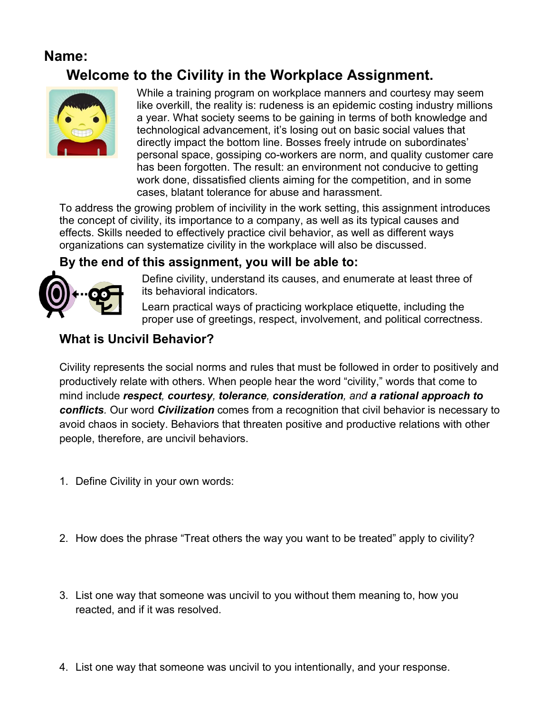### **Name:**

# **Welcome to the Civility in the Workplace Assignment.**



While a training program on workplace manners and courtesy may seem like overkill, the reality is: rudeness is an epidemic costing industry millions a year. What society seems to be gaining in terms of both knowledge and technological advancement, it's losing out on basic social values that directly impact the bottom line. Bosses freely intrude on subordinates' personal space, gossiping co-workers are norm, and quality customer care has been forgotten. The result: an environment not conducive to getting work done, dissatisfied clients aiming for the competition, and in some cases, blatant tolerance for abuse and harassment.

To address the growing problem of incivility in the work setting, this assignment introduces the concept of civility, its importance to a company, as well as its typical causes and effects. Skills needed to effectively practice civil behavior, as well as different ways organizations can systematize civility in the workplace will also be discussed.

#### **By the end of this assignment, you will be able to:**



Define civility, understand its causes, and enumerate at least three of its behavioral indicators.

Learn practical ways of practicing workplace etiquette, including the proper use of greetings, respect, involvement, and political correctness.

#### **What is Uncivil Behavior?**

Civility represents the social norms and rules that must be followed in order to positively and productively relate with others. When people hear the word "civility," words that come to mind include *respect, courtesy, tolerance, consideration, and a rational approach to conflicts.* Our word *Civilization* comes from a recognition that civil behavior is necessary to avoid chaos in society. Behaviors that threaten positive and productive relations with other people, therefore, are uncivil behaviors.

- 1. Define Civility in your own words:
- 2. How does the phrase "Treat others the way you want to be treated" apply to civility?
- 3. List one way that someone was uncivil to you without them meaning to, how you reacted, and if it was resolved.
- 4. List one way that someone was uncivil to you intentionally, and your response.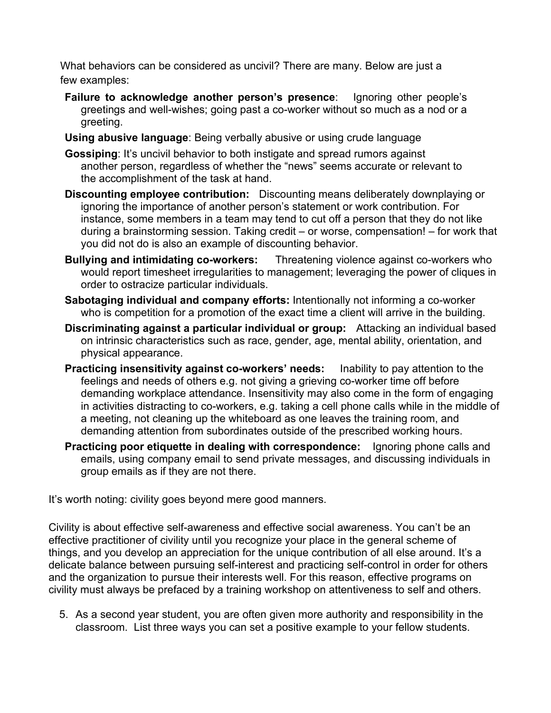What behaviors can be considered as uncivil? There are many. Below are just a few examples:

- **Failure to acknowledge another person's presence**: Ignoring other people's greetings and well-wishes; going past a co-worker without so much as a nod or a greeting.
- **Using abusive language**: Being verbally abusive or using crude language
- **Gossiping**: It's uncivil behavior to both instigate and spread rumors against another person, regardless of whether the "news" seems accurate or relevant to the accomplishment of the task at hand.
- **Discounting employee contribution:** Discounting means deliberately downplaying or ignoring the importance of another person's statement or work contribution. For instance, some members in a team may tend to cut off a person that they do not like during a brainstorming session. Taking credit – or worse, compensation! – for work that you did not do is also an example of discounting behavior.
- **Bullying and intimidating co-workers:** Threatening violence against co-workers who would report timesheet irregularities to management; leveraging the power of cliques in order to ostracize particular individuals.
- **Sabotaging individual and company efforts:** Intentionally not informing a co-worker who is competition for a promotion of the exact time a client will arrive in the building.
- **Discriminating against a particular individual or group:** Attacking an individual based on intrinsic characteristics such as race, gender, age, mental ability, orientation, and physical appearance.
- **Practicing insensitivity against co-workers' needs:** Inability to pay attention to the feelings and needs of others e.g. not giving a grieving co-worker time off before demanding workplace attendance. Insensitivity may also come in the form of engaging in activities distracting to co-workers, e.g. taking a cell phone calls while in the middle of a meeting, not cleaning up the whiteboard as one leaves the training room, and demanding attention from subordinates outside of the prescribed working hours.
- **Practicing poor etiquette in dealing with correspondence:** Ignoring phone calls and emails, using company email to send private messages, and discussing individuals in group emails as if they are not there.

It's worth noting: civility goes beyond mere good manners.

Civility is about effective self-awareness and effective social awareness. You can't be an effective practitioner of civility until you recognize your place in the general scheme of things, and you develop an appreciation for the unique contribution of all else around. It's a delicate balance between pursuing self-interest and practicing self-control in order for others and the organization to pursue their interests well. For this reason, effective programs on civility must always be prefaced by a training workshop on attentiveness to self and others.

5. As a second year student, you are often given more authority and responsibility in the classroom. List three ways you can set a positive example to your fellow students.